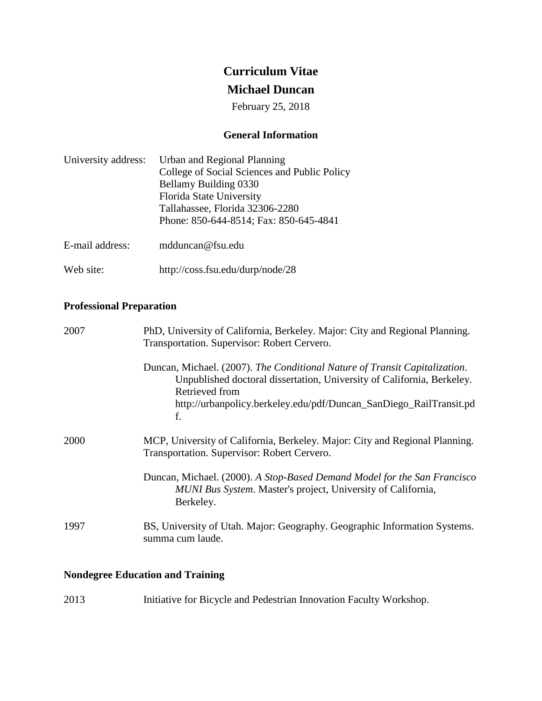# **Curriculum Vitae**

# **Michael Duncan**

February 25, 2018

# **General Information**

| University address: | Urban and Regional Planning                  |  |
|---------------------|----------------------------------------------|--|
|                     | College of Social Sciences and Public Policy |  |
|                     | Bellamy Building 0330                        |  |
|                     | Florida State University                     |  |
|                     | Tallahassee, Florida 32306-2280              |  |
|                     | Phone: 850-644-8514; Fax: 850-645-4841       |  |
| E-mail address:     | mdduncan@fsu.edu                             |  |

Web site: <http://coss.fsu.edu/durp/node/28>

# **Professional Preparation**

| 2007 | PhD, University of California, Berkeley. Major: City and Regional Planning.<br>Transportation. Supervisor: Robert Cervero.                                                                                                                         |  |  |
|------|----------------------------------------------------------------------------------------------------------------------------------------------------------------------------------------------------------------------------------------------------|--|--|
|      | Duncan, Michael. (2007). The Conditional Nature of Transit Capitalization.<br>Unpublished doctoral dissertation, University of California, Berkeley.<br>Retrieved from<br>http://urbanpolicy.berkeley.edu/pdf/Duncan_SanDiego_RailTransit.pd<br>f. |  |  |
| 2000 | MCP, University of California, Berkeley. Major: City and Regional Planning.<br>Transportation. Supervisor: Robert Cervero.                                                                                                                         |  |  |
|      | Duncan, Michael. (2000). A Stop-Based Demand Model for the San Francisco<br>MUNI Bus System. Master's project, University of California,<br>Berkeley.                                                                                              |  |  |
| 1997 | BS, University of Utah. Major: Geography. Geographic Information Systems.<br>summa cum laude.                                                                                                                                                      |  |  |

# **Nondegree Education and Training**

| 2013 | Initiative for Bicycle and Pedestrian Innovation Faculty Workshop. |  |  |
|------|--------------------------------------------------------------------|--|--|
|------|--------------------------------------------------------------------|--|--|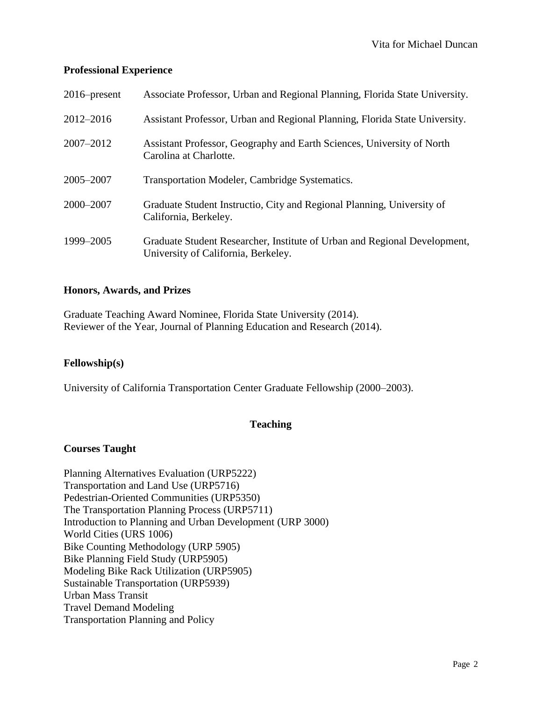# **Professional Experience**

| $2016$ -present | Associate Professor, Urban and Regional Planning, Florida State University.                                      |
|-----------------|------------------------------------------------------------------------------------------------------------------|
| $2012 - 2016$   | Assistant Professor, Urban and Regional Planning, Florida State University.                                      |
| 2007-2012       | Assistant Professor, Geography and Earth Sciences, University of North<br>Carolina at Charlotte.                 |
| 2005-2007       | Transportation Modeler, Cambridge Systematics.                                                                   |
| 2000-2007       | Graduate Student Instructio, City and Regional Planning, University of<br>California, Berkeley.                  |
| 1999-2005       | Graduate Student Researcher, Institute of Urban and Regional Development,<br>University of California, Berkeley. |

# **Honors, Awards, and Prizes**

Graduate Teaching Award Nominee, Florida State University (2014). Reviewer of the Year, Journal of Planning Education and Research (2014).

# **Fellowship(s)**

University of California Transportation Center Graduate Fellowship (2000–2003).

# **Teaching**

## **Courses Taught**

Planning Alternatives Evaluation (URP5222) Transportation and Land Use (URP5716) Pedestrian-Oriented Communities (URP5350) The Transportation Planning Process (URP5711) Introduction to Planning and Urban Development (URP 3000) World Cities (URS 1006) Bike Counting Methodology (URP 5905) Bike Planning Field Study (URP5905) Modeling Bike Rack Utilization (URP5905) Sustainable Transportation (URP5939) Urban Mass Transit Travel Demand Modeling Transportation Planning and Policy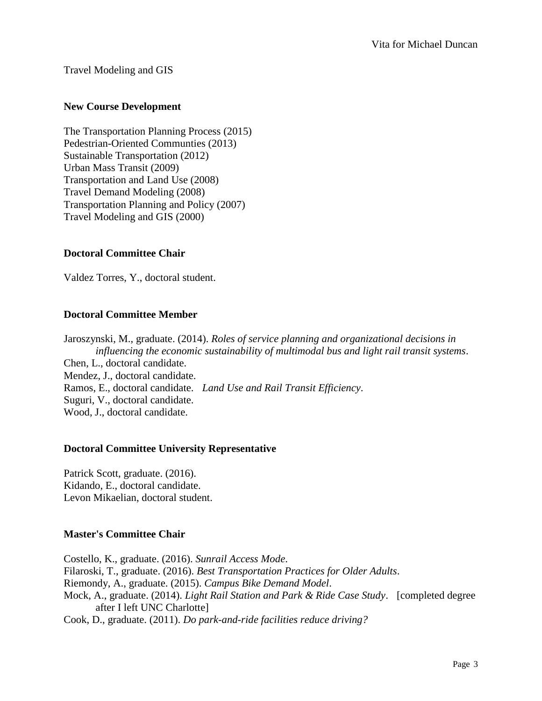Travel Modeling and GIS

# **New Course Development**

The Transportation Planning Process (2015) Pedestrian-Oriented Communties (2013) Sustainable Transportation (2012) Urban Mass Transit (2009) Transportation and Land Use (2008) Travel Demand Modeling (2008) Transportation Planning and Policy (2007) Travel Modeling and GIS (2000)

# **Doctoral Committee Chair**

Valdez Torres, Y., doctoral student.

# **Doctoral Committee Member**

Jaroszynski, M., graduate. (2014). *Roles of service planning and organizational decisions in influencing the economic sustainability of multimodal bus and light rail transit systems*. Chen, L., doctoral candidate. Mendez, J., doctoral candidate. Ramos, E., doctoral candidate. *Land Use and Rail Transit Efficiency*. Suguri, V., doctoral candidate. Wood, J., doctoral candidate.

## **Doctoral Committee University Representative**

Patrick Scott, graduate. (2016). Kidando, E., doctoral candidate. Levon Mikaelian, doctoral student.

## **Master's Committee Chair**

Costello, K., graduate. (2016). *Sunrail Access Mode*. Filaroski, T., graduate. (2016). *Best Transportation Practices for Older Adults*. Riemondy, A., graduate. (2015). *Campus Bike Demand Model*. Mock, A., graduate. (2014). *Light Rail Station and Park & Ride Case Study*. [completed degree after I left UNC Charlotte] Cook, D., graduate. (2011). *Do park-and-ride facilities reduce driving?*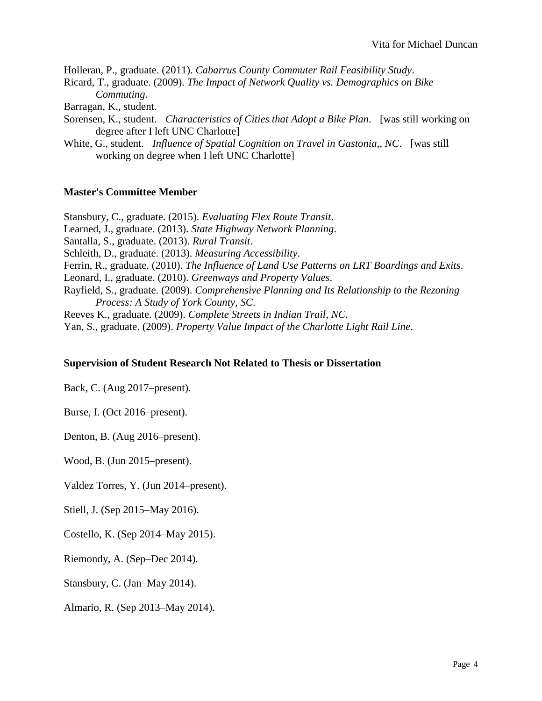Holleran, P., graduate. (2011). *Cabarrus County Commuter Rail Feasibility Study*.

Ricard, T., graduate. (2009). *The Impact of Network Quality vs. Demographics on Bike Commuting*.

Barragan, K., student.

- Sorensen, K., student. *Characteristics of Cities that Adopt a Bike Plan*. [was still working on degree after I left UNC Charlotte]
- White, G., student. *Influence of Spatial Cognition on Travel in Gastonia,, NC*. [was still working on degree when I left UNC Charlotte]

# **Master's Committee Member**

Stansbury, C., graduate. (2015). *Evaluating Flex Route Transit*. Learned, J., graduate. (2013). *State Highway Network Planning*. Santalla, S., graduate. (2013). *Rural Transit*. Schleith, D., graduate. (2013). *Measuring Accessibility*. Ferrin, R., graduate. (2010). *The Influence of Land Use Patterns on LRT Boardings and Exits*. Leonard, I., graduate. (2010). *Greenways and Property Values*. Rayfield, S., graduate. (2009). *Comprehensive Planning and Its Relationship to the Rezoning Process: A Study of York County, SC*. Reeves K., graduate. (2009). *Complete Streets in Indian Trail, NC*. Yan, S., graduate. (2009). *Property Value Impact of the Charlotte Light Rail Line*.

# **Supervision of Student Research Not Related to Thesis or Dissertation**

Back, C. (Aug 2017–present).

Burse, I. (Oct 2016–present).

Denton, B. (Aug 2016–present).

Wood, B. (Jun 2015–present).

Valdez Torres, Y. (Jun 2014–present).

Stiell, J. (Sep 2015–May 2016).

Costello, K. (Sep 2014–May 2015).

Riemondy, A. (Sep–Dec 2014).

Stansbury, C. (Jan–May 2014).

Almario, R. (Sep 2013–May 2014).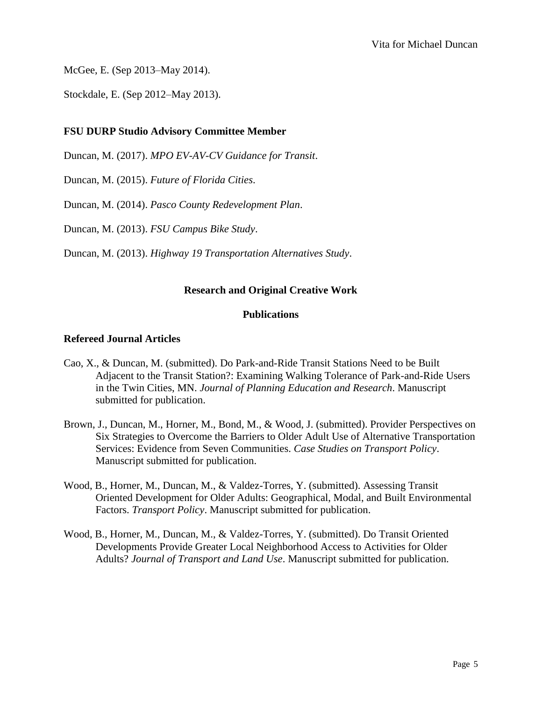McGee, E. (Sep 2013–May 2014).

Stockdale, E. (Sep 2012–May 2013).

# **FSU DURP Studio Advisory Committee Member**

Duncan, M. (2017). *MPO EV-AV-CV Guidance for Transit*.

Duncan, M. (2015). *Future of Florida Cities*.

Duncan, M. (2014). *Pasco County Redevelopment Plan*.

Duncan, M. (2013). *FSU Campus Bike Study*.

Duncan, M. (2013). *Highway 19 Transportation Alternatives Study*.

## **Research and Original Creative Work**

## **Publications**

## **Refereed Journal Articles**

- Cao, X., & Duncan, M. (submitted). Do Park-and-Ride Transit Stations Need to be Built Adjacent to the Transit Station?: Examining Walking Tolerance of Park-and-Ride Users in the Twin Cities, MN. *Journal of Planning Education and Research*. Manuscript submitted for publication.
- Brown, J., Duncan, M., Horner, M., Bond, M., & Wood, J. (submitted). Provider Perspectives on Six Strategies to Overcome the Barriers to Older Adult Use of Alternative Transportation Services: Evidence from Seven Communities. *Case Studies on Transport Policy*. Manuscript submitted for publication.
- Wood, B., Horner, M., Duncan, M., & Valdez-Torres, Y. (submitted). Assessing Transit Oriented Development for Older Adults: Geographical, Modal, and Built Environmental Factors. *Transport Policy*. Manuscript submitted for publication.
- Wood, B., Horner, M., Duncan, M., & Valdez-Torres, Y. (submitted). Do Transit Oriented Developments Provide Greater Local Neighborhood Access to Activities for Older Adults? *Journal of Transport and Land Use*. Manuscript submitted for publication.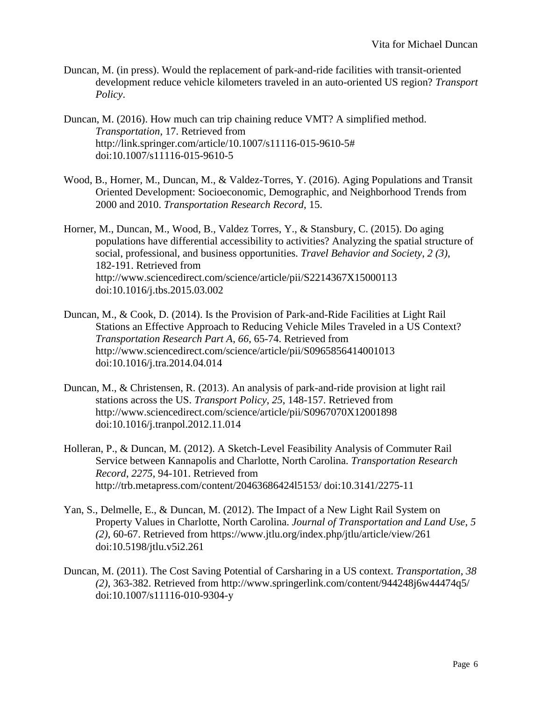- Duncan, M. (in press). Would the replacement of park-and-ride facilities with transit-oriented development reduce vehicle kilometers traveled in an auto-oriented US region? *Transport Policy*.
- Duncan, M. (2016). How much can trip chaining reduce VMT? A simplified method. *Transportation*, 17. Retrieved from [http://link.springer.com/article/10.1007/s11116-015-9610-5#](http://link.springer.com/article/10.1007/s11116-015-9610-5) doi[:10.1007/s11116-015-9610-5](http://dx.doi.org/10.1007/s11116-015-9610-5)
- Wood, B., Horner, M., Duncan, M., & Valdez-Torres, Y. (2016). Aging Populations and Transit Oriented Development: Socioeconomic, Demographic, and Neighborhood Trends from 2000 and 2010. *Transportation Research Record*, 15.
- Horner, M., Duncan, M., Wood, B., Valdez Torres, Y., & Stansbury, C. (2015). Do aging populations have differential accessibility to activities? Analyzing the spatial structure of social, professional, and business opportunities. *Travel Behavior and Society*, *2 (3)*, 182-191. Retrieved from <http://www.sciencedirect.com/science/article/pii/S2214367X15000113> doi[:10.1016/j.tbs.2015.03.002](http://dx.doi.org/10.1016/j.tbs.2015.03.002)
- Duncan, M., & Cook, D. (2014). Is the Provision of Park-and-Ride Facilities at Light Rail Stations an Effective Approach to Reducing Vehicle Miles Traveled in a US Context? *Transportation Research Part A*, *66*, 65-74. Retrieved from <http://www.sciencedirect.com/science/article/pii/S0965856414001013> doi[:10.1016/j.tra.2014.04.014](http://dx.doi.org/10.1016/j.tra.2014.04.014)
- Duncan, M., & Christensen, R. (2013). An analysis of park-and-ride provision at light rail stations across the US. *Transport Policy*, *25*, 148-157. Retrieved from <http://www.sciencedirect.com/science/article/pii/S0967070X12001898> doi[:10.1016/j.tranpol.2012.11.014](http://dx.doi.org/10.1016/j.tranpol.2012.11.014)
- Holleran, P., & Duncan, M. (2012). A Sketch-Level Feasibility Analysis of Commuter Rail Service between Kannapolis and Charlotte, North Carolina. *Transportation Research Record*, *2275*, 94-101. Retrieved from <http://trb.metapress.com/content/20463686424l5153/> doi[:10.3141/2275-11](http://dx.doi.org/10.3141/2275-11)
- Yan, S., Delmelle, E., & Duncan, M. (2012). The Impact of a New Light Rail System on Property Values in Charlotte, North Carolina. *Journal of Transportation and Land Use*, *5 (2)*, 60-67. Retrieved from<https://www.jtlu.org/index.php/jtlu/article/view/261> doi[:10.5198/jtlu.v5i2.261](http://dx.doi.org/10.5198/jtlu.v5i2.261)
- Duncan, M. (2011). The Cost Saving Potential of Carsharing in a US context. *Transportation*, *38 (2)*, 363-382. Retrieved from<http://www.springerlink.com/content/944248j6w44474q5/> doi[:10.1007/s11116-010-9304-y](http://dx.doi.org/10.1007/s11116-010-9304-y)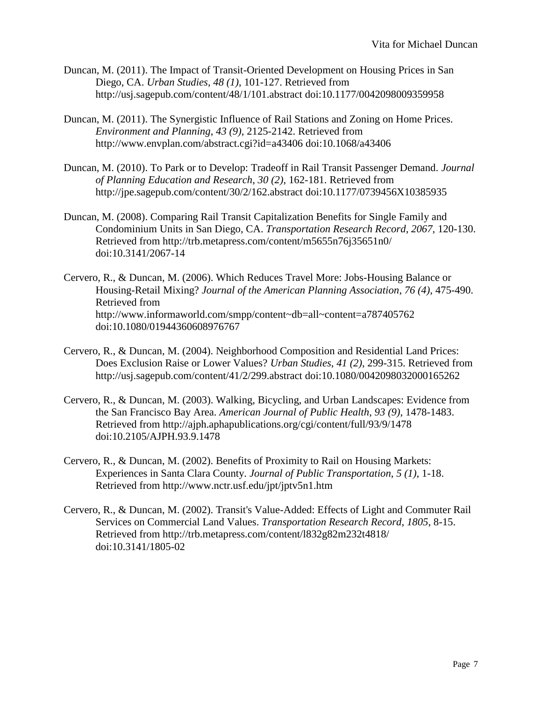- Duncan, M. (2011). The Impact of Transit-Oriented Development on Housing Prices in San Diego, CA. *Urban Studies*, *48 (1)*, 101-127. Retrieved from <http://usj.sagepub.com/content/48/1/101.abstract> doi[:10.1177/0042098009359958](http://dx.doi.org/10.1177/0042098009359958)
- Duncan, M. (2011). The Synergistic Influence of Rail Stations and Zoning on Home Prices. *Environment and Planning*, *43 (9)*, 2125-2142. Retrieved from <http://www.envplan.com/abstract.cgi?id=a43406> doi[:10.1068/a43406](http://dx.doi.org/10.1068/a43406)
- Duncan, M. (2010). To Park or to Develop: Tradeoff in Rail Transit Passenger Demand. *Journal of Planning Education and Research*, *30 (2)*, 162-181. Retrieved from <http://jpe.sagepub.com/content/30/2/162.abstract> doi[:10.1177/0739456X10385935](http://dx.doi.org/10.1177/0739456X10385935)
- Duncan, M. (2008). Comparing Rail Transit Capitalization Benefits for Single Family and Condominium Units in San Diego, CA. *Transportation Research Record*, *2067*, 120-130. Retrieved from<http://trb.metapress.com/content/m5655n76j35651n0/> doi[:10.3141/2067-14](http://dx.doi.org/10.3141/2067-14)
- Cervero, R., & Duncan, M. (2006). Which Reduces Travel More: Jobs-Housing Balance or Housing-Retail Mixing? *Journal of the American Planning Association*, *76 (4)*, 475-490. Retrieved from <http://www.informaworld.com/smpp/content~db=all~content=a787405762> doi[:10.1080/01944360608976767](http://dx.doi.org/10.1080/01944360608976767)
- Cervero, R., & Duncan, M. (2004). Neighborhood Composition and Residential Land Prices: Does Exclusion Raise or Lower Values? *Urban Studies*, *41 (2)*, 299-315. Retrieved from <http://usj.sagepub.com/content/41/2/299.abstract> doi[:10.1080/0042098032000165262](http://dx.doi.org/10.1080/0042098032000165262)
- Cervero, R., & Duncan, M. (2003). Walking, Bicycling, and Urban Landscapes: Evidence from the San Francisco Bay Area. *American Journal of Public Health*, *93 (9)*, 1478-1483. Retrieved from<http://ajph.aphapublications.org/cgi/content/full/93/9/1478> doi[:10.2105/AJPH.93.9.1478](http://dx.doi.org/10.2105/AJPH.93.9.1478)
- Cervero, R., & Duncan, M. (2002). Benefits of Proximity to Rail on Housing Markets: Experiences in Santa Clara County. *Journal of Public Transportation*, *5 (1)*, 1-18. Retrieved from<http://www.nctr.usf.edu/jpt/jptv5n1.htm>
- Cervero, R., & Duncan, M. (2002). Transit's Value-Added: Effects of Light and Commuter Rail Services on Commercial Land Values. *Transportation Research Record*, *1805*, 8-15. Retrieved from<http://trb.metapress.com/content/l832g82m232t4818/> doi[:10.3141/1805-02](http://dx.doi.org/10.3141/1805-02)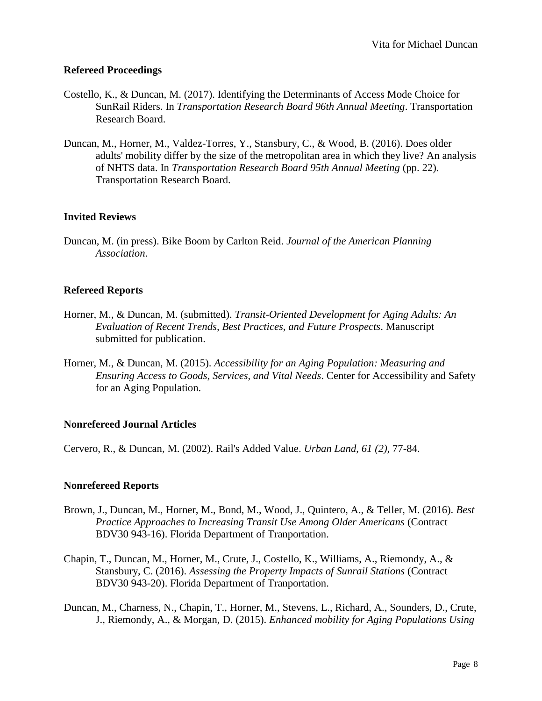#### **Refereed Proceedings**

- Costello, K., & Duncan, M. (2017). Identifying the Determinants of Access Mode Choice for SunRail Riders. In *Transportation Research Board 96th Annual Meeting*. Transportation Research Board.
- Duncan, M., Horner, M., Valdez-Torres, Y., Stansbury, C., & Wood, B. (2016). Does older adults' mobility differ by the size of the metropolitan area in which they live? An analysis of NHTS data. In *Transportation Research Board 95th Annual Meeting* (pp. 22). Transportation Research Board.

## **Invited Reviews**

Duncan, M. (in press). Bike Boom by Carlton Reid. *Journal of the American Planning Association*.

#### **Refereed Reports**

- Horner, M., & Duncan, M. (submitted). *Transit-Oriented Development for Aging Adults: An Evaluation of Recent Trends, Best Practices, and Future Prospects*. Manuscript submitted for publication.
- Horner, M., & Duncan, M. (2015). *Accessibility for an Aging Population: Measuring and Ensuring Access to Goods, Services, and Vital Needs*. Center for Accessibility and Safety for an Aging Population.

## **Nonrefereed Journal Articles**

Cervero, R., & Duncan, M. (2002). Rail's Added Value. *Urban Land*, *61 (2)*, 77-84.

#### **Nonrefereed Reports**

- Brown, J., Duncan, M., Horner, M., Bond, M., Wood, J., Quintero, A., & Teller, M. (2016). *Best Practice Approaches to Increasing Transit Use Among Older Americans* (Contract BDV30 943-16). Florida Department of Tranportation.
- Chapin, T., Duncan, M., Horner, M., Crute, J., Costello, K., Williams, A., Riemondy, A., & Stansbury, C. (2016). *Assessing the Property Impacts of Sunrail Stations* (Contract BDV30 943-20). Florida Department of Tranportation.
- Duncan, M., Charness, N., Chapin, T., Horner, M., Stevens, L., Richard, A., Sounders, D., Crute, J., Riemondy, A., & Morgan, D. (2015). *Enhanced mobility for Aging Populations Using*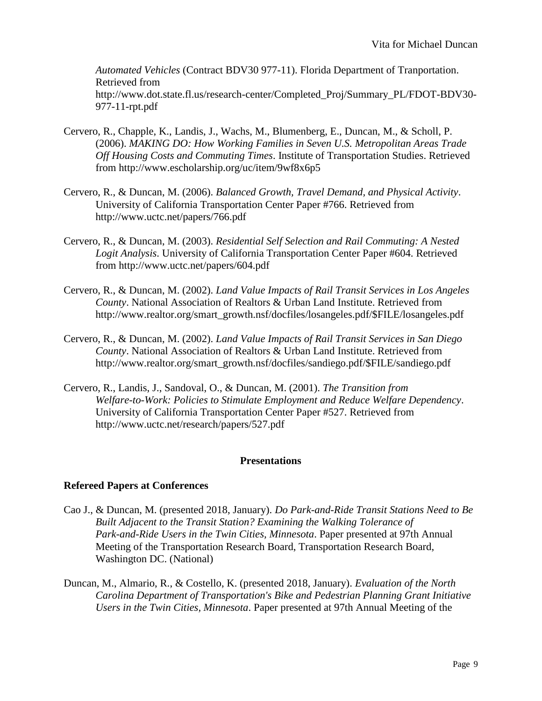*Automated Vehicles* (Contract BDV30 977-11). Florida Department of Tranportation. Retrieved from [http://www.dot.state.fl.us/research-center/Completed\\_Proj/Summary\\_PL/FDOT-BDV30-](http://www.dot.state.fl.us/research-center/Completed_Proj/Summary_PL/FDOT-BDV30-977-11-rpt.pdf) [977-11-rpt.pdf](http://www.dot.state.fl.us/research-center/Completed_Proj/Summary_PL/FDOT-BDV30-977-11-rpt.pdf)

- Cervero, R., Chapple, K., Landis, J., Wachs, M., Blumenberg, E., Duncan, M., & Scholl, P. (2006). *MAKING DO: How Working Families in Seven U.S. Metropolitan Areas Trade Off Housing Costs and Commuting Times*. Institute of Transportation Studies. Retrieved from<http://www.escholarship.org/uc/item/9wf8x6p5>
- Cervero, R., & Duncan, M. (2006). *Balanced Growth, Travel Demand, and Physical Activity*. University of California Transportation Center Paper #766. Retrieved from <http://www.uctc.net/papers/766.pdf>
- Cervero, R., & Duncan, M. (2003). *Residential Self Selection and Rail Commuting: A Nested Logit Analysis*. University of California Transportation Center Paper #604. Retrieved from<http://www.uctc.net/papers/604.pdf>
- Cervero, R., & Duncan, M. (2002). *Land Value Impacts of Rail Transit Services in Los Angeles County*. National Association of Realtors & Urban Land Institute. Retrieved from [http://www.realtor.org/smart\\_growth.nsf/docfiles/losangeles.pdf/\\$FILE/losangeles.pdf](http://www.realtor.org/smart_growth.nsf/docfiles/losangeles.pdf/$FILE/losangeles.pdf)
- Cervero, R., & Duncan, M. (2002). *Land Value Impacts of Rail Transit Services in San Diego County*. National Association of Realtors & Urban Land Institute. Retrieved from [http://www.realtor.org/smart\\_growth.nsf/docfiles/sandiego.pdf/\\$FILE/sandiego.pdf](http://www.realtor.org/smart_growth.nsf/docfiles/sandiego.pdf/$FILE/sandiego.pdf)
- Cervero, R., Landis, J., Sandoval, O., & Duncan, M. (2001). *The Transition from Welfare-to-Work: Policies to Stimulate Employment and Reduce Welfare Dependency*. University of California Transportation Center Paper #527. Retrieved from <http://www.uctc.net/research/papers/527.pdf>

## **Presentations**

## **Refereed Papers at Conferences**

- Cao J., & Duncan, M. (presented 2018, January). *Do Park-and-Ride Transit Stations Need to Be Built Adjacent to the Transit Station? Examining the Walking Tolerance of Park-and-Ride Users in the Twin Cities, Minnesota*. Paper presented at 97th Annual Meeting of the Transportation Research Board, Transportation Research Board, Washington DC. (National)
- Duncan, M., Almario, R., & Costello, K. (presented 2018, January). *Evaluation of the North Carolina Department of Transportation's Bike and Pedestrian Planning Grant Initiative Users in the Twin Cities, Minnesota*. Paper presented at 97th Annual Meeting of the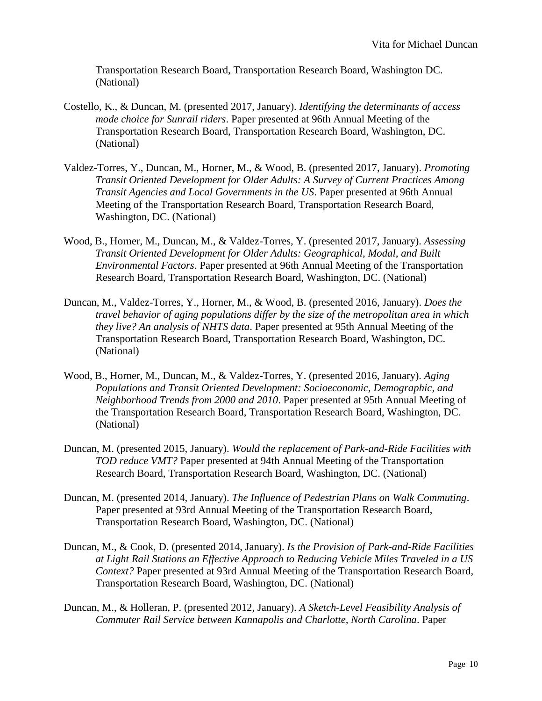Transportation Research Board, Transportation Research Board, Washington DC. (National)

- Costello, K., & Duncan, M. (presented 2017, January). *Identifying the determinants of access mode choice for Sunrail riders*. Paper presented at 96th Annual Meeting of the Transportation Research Board, Transportation Research Board, Washington, DC. (National)
- Valdez-Torres, Y., Duncan, M., Horner, M., & Wood, B. (presented 2017, January). *Promoting Transit Oriented Development for Older Adults: A Survey of Current Practices Among Transit Agencies and Local Governments in the US*. Paper presented at 96th Annual Meeting of the Transportation Research Board, Transportation Research Board, Washington, DC. (National)
- Wood, B., Horner, M., Duncan, M., & Valdez-Torres, Y. (presented 2017, January). *Assessing Transit Oriented Development for Older Adults: Geographical, Modal, and Built Environmental Factors*. Paper presented at 96th Annual Meeting of the Transportation Research Board, Transportation Research Board, Washington, DC. (National)
- Duncan, M., Valdez-Torres, Y., Horner, M., & Wood, B. (presented 2016, January). *Does the travel behavior of aging populations differ by the size of the metropolitan area in which they live? An analysis of NHTS data*. Paper presented at 95th Annual Meeting of the Transportation Research Board, Transportation Research Board, Washington, DC. (National)
- Wood, B., Horner, M., Duncan, M., & Valdez-Torres, Y. (presented 2016, January). *Aging Populations and Transit Oriented Development: Socioeconomic, Demographic, and Neighborhood Trends from 2000 and 2010*. Paper presented at 95th Annual Meeting of the Transportation Research Board, Transportation Research Board, Washington, DC. (National)
- Duncan, M. (presented 2015, January). *Would the replacement of Park-and-Ride Facilities with TOD reduce VMT?* Paper presented at 94th Annual Meeting of the Transportation Research Board, Transportation Research Board, Washington, DC. (National)
- Duncan, M. (presented 2014, January). *The Influence of Pedestrian Plans on Walk Commuting*. Paper presented at 93rd Annual Meeting of the Transportation Research Board, Transportation Research Board, Washington, DC. (National)
- Duncan, M., & Cook, D. (presented 2014, January). *Is the Provision of Park-and-Ride Facilities at Light Rail Stations an Effective Approach to Reducing Vehicle Miles Traveled in a US Context?* Paper presented at 93rd Annual Meeting of the Transportation Research Board, Transportation Research Board, Washington, DC. (National)
- Duncan, M., & Holleran, P. (presented 2012, January). *A Sketch-Level Feasibility Analysis of Commuter Rail Service between Kannapolis and Charlotte, North Carolina*. Paper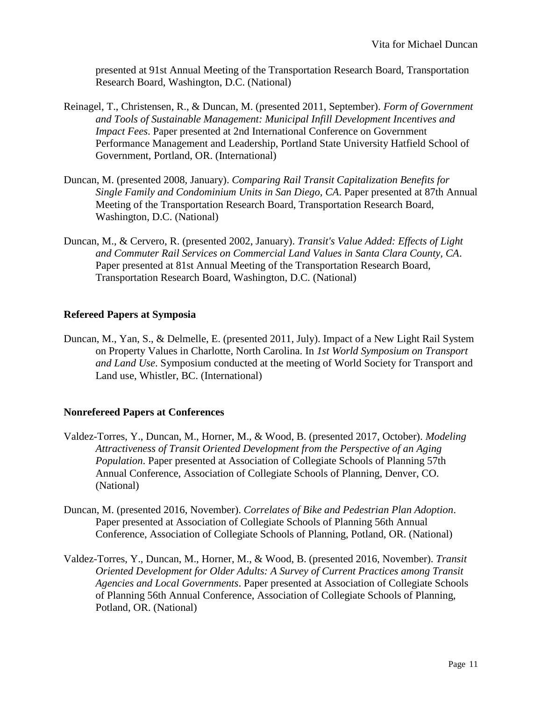presented at 91st Annual Meeting of the Transportation Research Board, Transportation Research Board, Washington, D.C. (National)

- Reinagel, T., Christensen, R., & Duncan, M. (presented 2011, September). *Form of Government and Tools of Sustainable Management: Municipal Infill Development Incentives and Impact Fees*. Paper presented at 2nd International Conference on Government Performance Management and Leadership, Portland State University Hatfield School of Government, Portland, OR. (International)
- Duncan, M. (presented 2008, January). *Comparing Rail Transit Capitalization Benefits for Single Family and Condominium Units in San Diego, CA*. Paper presented at 87th Annual Meeting of the Transportation Research Board, Transportation Research Board, Washington, D.C. (National)
- Duncan, M., & Cervero, R. (presented 2002, January). *Transit's Value Added: Effects of Light and Commuter Rail Services on Commercial Land Values in Santa Clara County, CA*. Paper presented at 81st Annual Meeting of the Transportation Research Board, Transportation Research Board, Washington, D.C. (National)

#### **Refereed Papers at Symposia**

Duncan, M., Yan, S., & Delmelle, E. (presented 2011, July). Impact of a New Light Rail System on Property Values in Charlotte, North Carolina. In *1st World Symposium on Transport and Land Use*. Symposium conducted at the meeting of World Society for Transport and Land use, Whistler, BC. (International)

## **Nonrefereed Papers at Conferences**

- Valdez-Torres, Y., Duncan, M., Horner, M., & Wood, B. (presented 2017, October). *Modeling Attractiveness of Transit Oriented Development from the Perspective of an Aging Population*. Paper presented at Association of Collegiate Schools of Planning 57th Annual Conference, Association of Collegiate Schools of Planning, Denver, CO. (National)
- Duncan, M. (presented 2016, November). *Correlates of Bike and Pedestrian Plan Adoption*. Paper presented at Association of Collegiate Schools of Planning 56th Annual Conference, Association of Collegiate Schools of Planning, Potland, OR. (National)
- Valdez-Torres, Y., Duncan, M., Horner, M., & Wood, B. (presented 2016, November). *Transit Oriented Development for Older Adults: A Survey of Current Practices among Transit Agencies and Local Governments*. Paper presented at Association of Collegiate Schools of Planning 56th Annual Conference, Association of Collegiate Schools of Planning, Potland, OR. (National)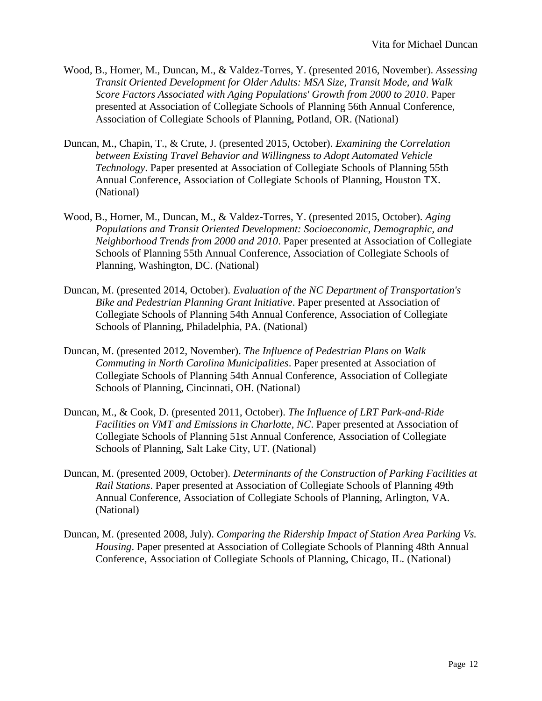- Wood, B., Horner, M., Duncan, M., & Valdez-Torres, Y. (presented 2016, November). *Assessing Transit Oriented Development for Older Adults: MSA Size, Transit Mode, and Walk Score Factors Associated with Aging Populations' Growth from 2000 to 2010*. Paper presented at Association of Collegiate Schools of Planning 56th Annual Conference, Association of Collegiate Schools of Planning, Potland, OR. (National)
- Duncan, M., Chapin, T., & Crute, J. (presented 2015, October). *Examining the Correlation between Existing Travel Behavior and Willingness to Adopt Automated Vehicle Technology*. Paper presented at Association of Collegiate Schools of Planning 55th Annual Conference, Association of Collegiate Schools of Planning, Houston TX. (National)
- Wood, B., Horner, M., Duncan, M., & Valdez-Torres, Y. (presented 2015, October). *Aging Populations and Transit Oriented Development: Socioeconomic, Demographic, and Neighborhood Trends from 2000 and 2010*. Paper presented at Association of Collegiate Schools of Planning 55th Annual Conference, Association of Collegiate Schools of Planning, Washington, DC. (National)
- Duncan, M. (presented 2014, October). *Evaluation of the NC Department of Transportation's Bike and Pedestrian Planning Grant Initiative*. Paper presented at Association of Collegiate Schools of Planning 54th Annual Conference, Association of Collegiate Schools of Planning, Philadelphia, PA. (National)
- Duncan, M. (presented 2012, November). *The Influence of Pedestrian Plans on Walk Commuting in North Carolina Municipalities*. Paper presented at Association of Collegiate Schools of Planning 54th Annual Conference, Association of Collegiate Schools of Planning, Cincinnati, OH. (National)
- Duncan, M., & Cook, D. (presented 2011, October). *The Influence of LRT Park-and-Ride Facilities on VMT and Emissions in Charlotte, NC*. Paper presented at Association of Collegiate Schools of Planning 51st Annual Conference, Association of Collegiate Schools of Planning, Salt Lake City, UT. (National)
- Duncan, M. (presented 2009, October). *Determinants of the Construction of Parking Facilities at Rail Stations*. Paper presented at Association of Collegiate Schools of Planning 49th Annual Conference, Association of Collegiate Schools of Planning, Arlington, VA. (National)
- Duncan, M. (presented 2008, July). *Comparing the Ridership Impact of Station Area Parking Vs. Housing*. Paper presented at Association of Collegiate Schools of Planning 48th Annual Conference, Association of Collegiate Schools of Planning, Chicago, IL. (National)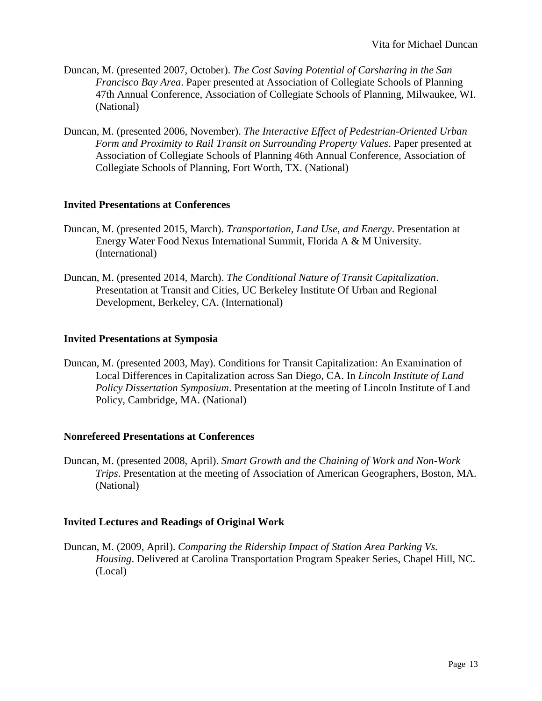- Duncan, M. (presented 2007, October). *The Cost Saving Potential of Carsharing in the San Francisco Bay Area*. Paper presented at Association of Collegiate Schools of Planning 47th Annual Conference, Association of Collegiate Schools of Planning, Milwaukee, WI. (National)
- Duncan, M. (presented 2006, November). *The Interactive Effect of Pedestrian-Oriented Urban Form and Proximity to Rail Transit on Surrounding Property Values*. Paper presented at Association of Collegiate Schools of Planning 46th Annual Conference, Association of Collegiate Schools of Planning, Fort Worth, TX. (National)

#### **Invited Presentations at Conferences**

- Duncan, M. (presented 2015, March). *Transportation, Land Use, and Energy*. Presentation at Energy Water Food Nexus International Summit, Florida A & M University. (International)
- Duncan, M. (presented 2014, March). *The Conditional Nature of Transit Capitalization*. Presentation at Transit and Cities, UC Berkeley Institute Of Urban and Regional Development, Berkeley, CA. (International)

#### **Invited Presentations at Symposia**

Duncan, M. (presented 2003, May). Conditions for Transit Capitalization: An Examination of Local Differences in Capitalization across San Diego, CA. In *Lincoln Institute of Land Policy Dissertation Symposium*. Presentation at the meeting of Lincoln Institute of Land Policy, Cambridge, MA. (National)

#### **Nonrefereed Presentations at Conferences**

Duncan, M. (presented 2008, April). *Smart Growth and the Chaining of Work and Non-Work Trips*. Presentation at the meeting of Association of American Geographers, Boston, MA. (National)

#### **Invited Lectures and Readings of Original Work**

Duncan, M. (2009, April). *Comparing the Ridership Impact of Station Area Parking Vs. Housing*. Delivered at Carolina Transportation Program Speaker Series, Chapel Hill, NC. (Local)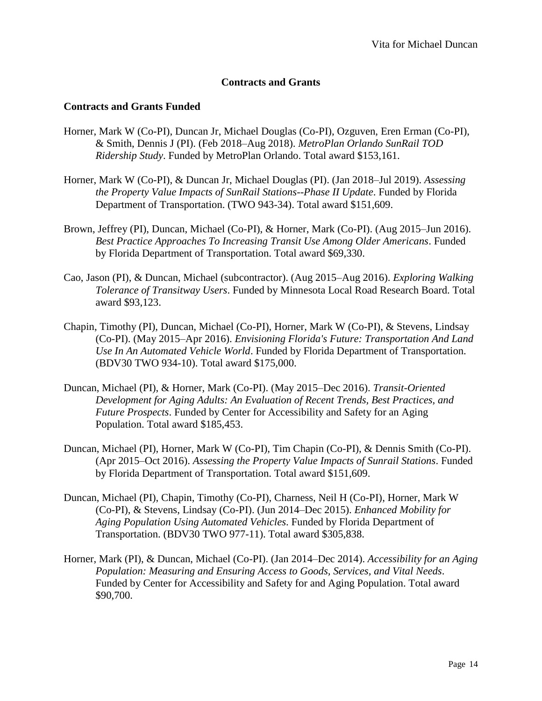# **Contracts and Grants**

# **Contracts and Grants Funded**

- Horner, Mark W (Co-PI), Duncan Jr, Michael Douglas (Co-PI), Ozguven, Eren Erman (Co-PI), & Smith, Dennis J (PI). (Feb 2018–Aug 2018). *MetroPlan Orlando SunRail TOD Ridership Study*. Funded by MetroPlan Orlando. Total award \$153,161.
- Horner, Mark W (Co-PI), & Duncan Jr, Michael Douglas (PI). (Jan 2018–Jul 2019). *Assessing the Property Value Impacts of SunRail Stations--Phase II Update*. Funded by Florida Department of Transportation. (TWO 943-34). Total award \$151,609.
- Brown, Jeffrey (PI), Duncan, Michael (Co-PI), & Horner, Mark (Co-PI). (Aug 2015–Jun 2016). *Best Practice Approaches To Increasing Transit Use Among Older Americans*. Funded by Florida Department of Transportation. Total award \$69,330.
- Cao, Jason (PI), & Duncan, Michael (subcontractor). (Aug 2015–Aug 2016). *Exploring Walking Tolerance of Transitway Users*. Funded by Minnesota Local Road Research Board. Total award \$93,123.
- Chapin, Timothy (PI), Duncan, Michael (Co-PI), Horner, Mark W (Co-PI), & Stevens, Lindsay (Co-PI). (May 2015–Apr 2016). *Envisioning Florida's Future: Transportation And Land Use In An Automated Vehicle World*. Funded by Florida Department of Transportation. (BDV30 TWO 934-10). Total award \$175,000.
- Duncan, Michael (PI), & Horner, Mark (Co-PI). (May 2015–Dec 2016). *Transit-Oriented Development for Aging Adults: An Evaluation of Recent Trends, Best Practices, and Future Prospects*. Funded by Center for Accessibility and Safety for an Aging Population. Total award \$185,453.
- Duncan, Michael (PI), Horner, Mark W (Co-PI), Tim Chapin (Co-PI), & Dennis Smith (Co-PI). (Apr 2015–Oct 2016). *Assessing the Property Value Impacts of Sunrail Stations*. Funded by Florida Department of Transportation. Total award \$151,609.
- Duncan, Michael (PI), Chapin, Timothy (Co-PI), Charness, Neil H (Co-PI), Horner, Mark W (Co-PI), & Stevens, Lindsay (Co-PI). (Jun 2014–Dec 2015). *Enhanced Mobility for Aging Population Using Automated Vehicles*. Funded by Florida Department of Transportation. (BDV30 TWO 977-11). Total award \$305,838.
- Horner, Mark (PI), & Duncan, Michael (Co-PI). (Jan 2014–Dec 2014). *Accessibility for an Aging Population: Measuring and Ensuring Access to Goods, Services, and Vital Needs*. Funded by Center for Accessibility and Safety for and Aging Population. Total award \$90,700.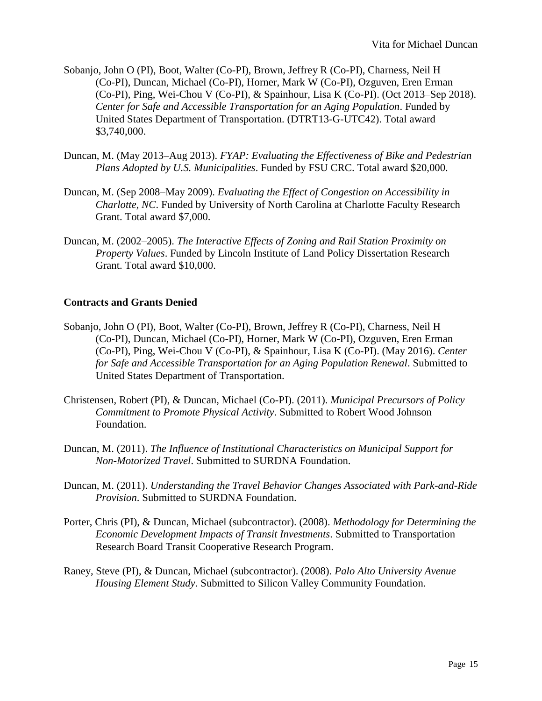- Sobanjo, John O (PI), Boot, Walter (Co-PI), Brown, Jeffrey R (Co-PI), Charness, Neil H (Co-PI), Duncan, Michael (Co-PI), Horner, Mark W (Co-PI), Ozguven, Eren Erman (Co-PI), Ping, Wei-Chou V (Co-PI), & Spainhour, Lisa K (Co-PI). (Oct 2013–Sep 2018). *Center for Safe and Accessible Transportation for an Aging Population*. Funded by United States Department of Transportation. (DTRT13-G-UTC42). Total award \$3,740,000.
- Duncan, M. (May 2013–Aug 2013). *FYAP: Evaluating the Effectiveness of Bike and Pedestrian Plans Adopted by U.S. Municipalities*. Funded by FSU CRC. Total award \$20,000.
- Duncan, M. (Sep 2008–May 2009). *Evaluating the Effect of Congestion on Accessibility in Charlotte, NC*. Funded by University of North Carolina at Charlotte Faculty Research Grant. Total award \$7,000.
- Duncan, M. (2002–2005). *The Interactive Effects of Zoning and Rail Station Proximity on Property Values*. Funded by Lincoln Institute of Land Policy Dissertation Research Grant. Total award \$10,000.

# **Contracts and Grants Denied**

- Sobanjo, John O (PI), Boot, Walter (Co-PI), Brown, Jeffrey R (Co-PI), Charness, Neil H (Co-PI), Duncan, Michael (Co-PI), Horner, Mark W (Co-PI), Ozguven, Eren Erman (Co-PI), Ping, Wei-Chou V (Co-PI), & Spainhour, Lisa K (Co-PI). (May 2016). *Center for Safe and Accessible Transportation for an Aging Population Renewal*. Submitted to United States Department of Transportation.
- Christensen, Robert (PI), & Duncan, Michael (Co-PI). (2011). *Municipal Precursors of Policy Commitment to Promote Physical Activity*. Submitted to Robert Wood Johnson Foundation.
- Duncan, M. (2011). *The Influence of Institutional Characteristics on Municipal Support for Non-Motorized Travel*. Submitted to SURDNA Foundation.
- Duncan, M. (2011). *Understanding the Travel Behavior Changes Associated with Park-and-Ride Provision*. Submitted to SURDNA Foundation.
- Porter, Chris (PI), & Duncan, Michael (subcontractor). (2008). *Methodology for Determining the Economic Development Impacts of Transit Investments*. Submitted to Transportation Research Board Transit Cooperative Research Program.
- Raney, Steve (PI), & Duncan, Michael (subcontractor). (2008). *Palo Alto University Avenue Housing Element Study*. Submitted to Silicon Valley Community Foundation.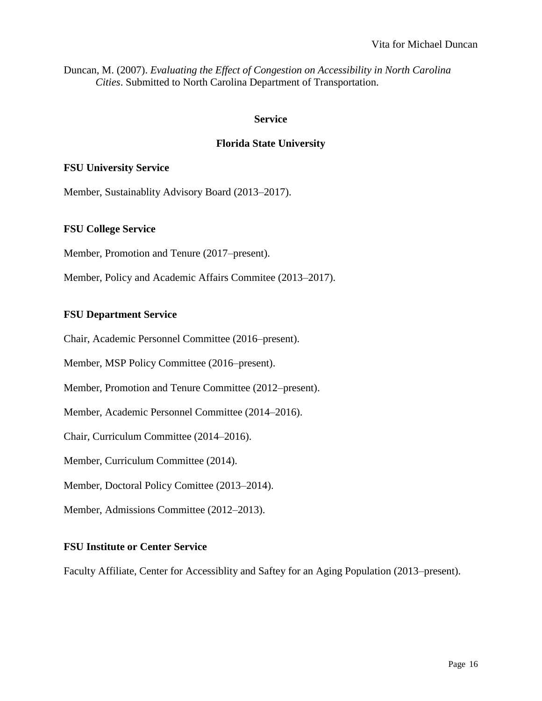Duncan, M. (2007). *Evaluating the Effect of Congestion on Accessibility in North Carolina Cities*. Submitted to North Carolina Department of Transportation.

#### **Service**

# **Florida State University**

#### **FSU University Service**

Member, Sustainablity Advisory Board (2013–2017).

#### **FSU College Service**

Member, Promotion and Tenure (2017–present).

Member, Policy and Academic Affairs Commitee (2013–2017).

#### **FSU Department Service**

Chair, Academic Personnel Committee (2016–present).

Member, MSP Policy Committee (2016–present).

Member, Promotion and Tenure Committee (2012–present).

Member, Academic Personnel Committee (2014–2016).

Chair, Curriculum Committee (2014–2016).

Member, Curriculum Committee (2014).

Member, Doctoral Policy Comittee (2013–2014).

Member, Admissions Committee (2012–2013).

#### **FSU Institute or Center Service**

Faculty Affiliate, Center for Accessiblity and Saftey for an Aging Population (2013–present).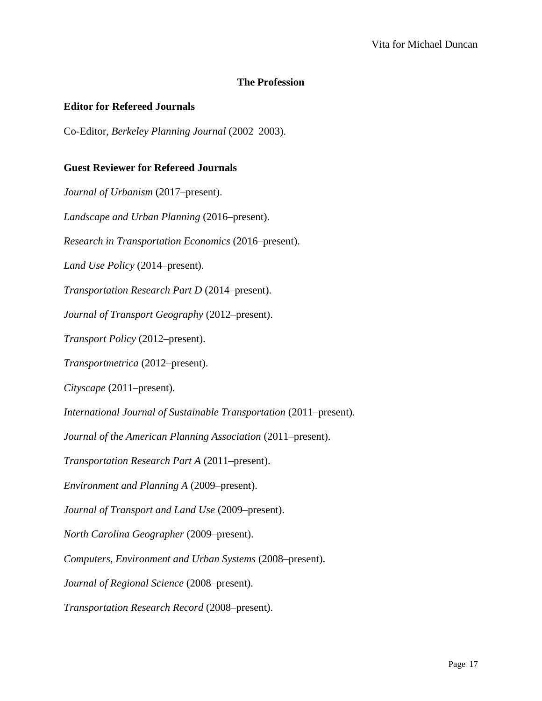# **The Profession**

#### **Editor for Refereed Journals**

Co-Editor, *Berkeley Planning Journal* (2002–2003).

#### **Guest Reviewer for Refereed Journals**

*Journal of Urbanism* (2017–present). *Landscape and Urban Planning* (2016–present). *Research in Transportation Economics* (2016–present). *Land Use Policy* (2014–present). *Transportation Research Part D* (2014–present). *Journal of Transport Geography* (2012–present). *Transport Policy* (2012–present). *Transportmetrica* (2012–present). *Cityscape* (2011–present). *International Journal of Sustainable Transportation* (2011–present). *Journal of the American Planning Association* (2011–present). *Transportation Research Part A* (2011–present). *Environment and Planning A* (2009–present). *Journal of Transport and Land Use* (2009–present). *North Carolina Geographer* (2009–present). *Computers, Environment and Urban Systems* (2008–present). *Journal of Regional Science* (2008–present). *Transportation Research Record* (2008–present).